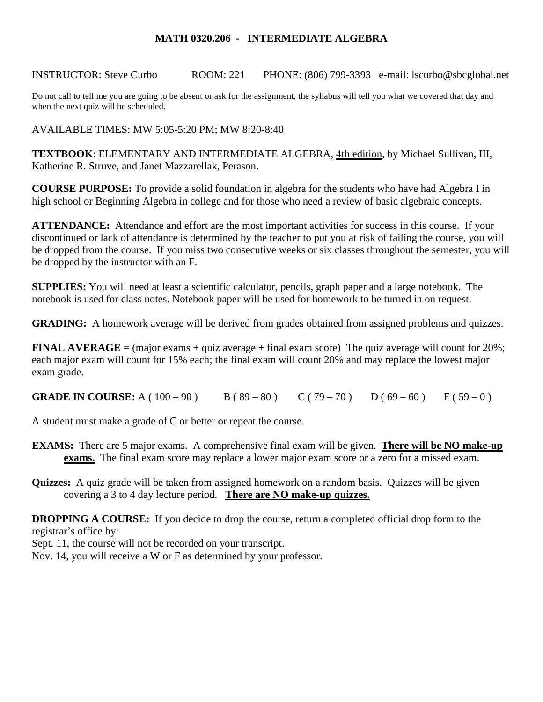## **MATH 0320.206 - INTERMEDIATE ALGEBRA**

INSTRUCTOR: Steve Curbo ROOM: 221 PHONE: (806) 799-3393 e-mail: lscurbo@sbcglobal.net

Do not call to tell me you are going to be absent or ask for the assignment, the syllabus will tell you what we covered that day and when the next quiz will be scheduled.

AVAILABLE TIMES: MW 5:05-5:20 PM; MW 8:20-8:40

**TEXTBOOK**: ELEMENTARY AND INTERMEDIATE ALGEBRA, 4th edition, by Michael Sullivan, III, Katherine R. Struve, and Janet Mazzarellak, Perason.

**COURSE PURPOSE:** To provide a solid foundation in algebra for the students who have had Algebra I in high school or Beginning Algebra in college and for those who need a review of basic algebraic concepts.

**ATTENDANCE:** Attendance and effort are the most important activities for success in this course. If your discontinued or lack of attendance is determined by the teacher to put you at risk of failing the course, you will be dropped from the course. If you miss two consecutive weeks or six classes throughout the semester, you will be dropped by the instructor with an F.

**SUPPLIES:** You will need at least a scientific calculator, pencils, graph paper and a large notebook. The notebook is used for class notes. Notebook paper will be used for homework to be turned in on request.

**GRADING:** A homework average will be derived from grades obtained from assigned problems and quizzes.

**FINAL AVERAGE** = (major exams + quiz average + final exam score) The quiz average will count for  $20\%$ ; each major exam will count for 15% each; the final exam will count 20% and may replace the lowest major exam grade.

**GRADE IN COURSE:** A (  $100 - 90$  ) B (  $89 - 80$  ) C (  $79 - 70$  ) D (  $69 - 60$  ) F (  $59 - 0$  )

A student must make a grade of C or better or repeat the course.

- **EXAMS:** There are 5 major exams. A comprehensive final exam will be given. **There will be NO make-up exams.** The final exam score may replace a lower major exam score or a zero for a missed exam.
- **Quizzes:** A quiz grade will be taken from assigned homework on a random basis. Quizzes will be given covering a 3 to 4 day lecture period. **There are NO make-up quizzes.**

**DROPPING A COURSE:** If you decide to drop the course, return a completed official drop form to the registrar's office by:

Sept. 11, the course will not be recorded on your transcript.

Nov. 14, you will receive a W or F as determined by your professor.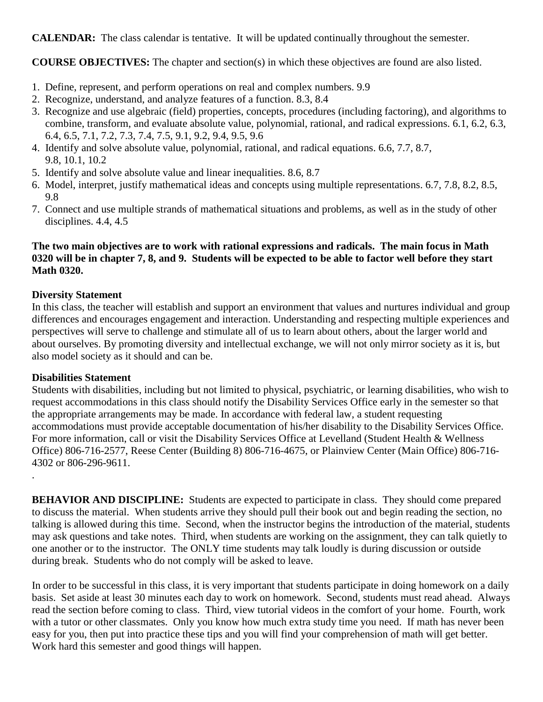**CALENDAR:** The class calendar is tentative. It will be updated continually throughout the semester.

**COURSE OBJECTIVES:** The chapter and section(s) in which these objectives are found are also listed.

- 1. Define, represent, and perform operations on real and complex numbers. 9.9
- 2. Recognize, understand, and analyze features of a function. 8.3, 8.4
- 3. Recognize and use algebraic (field) properties, concepts, procedures (including factoring), and algorithms to combine, transform, and evaluate absolute value, polynomial, rational, and radical expressions. 6.1, 6.2, 6.3, 6.4, 6.5, 7.1, 7.2, 7.3, 7.4, 7.5, 9.1, 9.2, 9.4, 9.5, 9.6
- 4. Identify and solve absolute value, polynomial, rational, and radical equations. 6.6, 7.7, 8.7, 9.8, 10.1, 10.2
- 5. Identify and solve absolute value and linear inequalities. 8.6, 8.7
- 6. Model, interpret, justify mathematical ideas and concepts using multiple representations. 6.7, 7.8, 8.2, 8.5, 9.8
- 7. Connect and use multiple strands of mathematical situations and problems, as well as in the study of other disciplines. 4.4, 4.5

# **The two main objectives are to work with rational expressions and radicals. The main focus in Math 0320 will be in chapter 7, 8, and 9. Students will be expected to be able to factor well before they start Math 0320.**

# **Diversity Statement**

In this class, the teacher will establish and support an environment that values and nurtures individual and group differences and encourages engagement and interaction. Understanding and respecting multiple experiences and perspectives will serve to challenge and stimulate all of us to learn about others, about the larger world and about ourselves. By promoting diversity and intellectual exchange, we will not only mirror society as it is, but also model society as it should and can be.

## **Disabilities Statement**

Students with disabilities, including but not limited to physical, psychiatric, or learning disabilities, who wish to request accommodations in this class should notify the Disability Services Office early in the semester so that the appropriate arrangements may be made. In accordance with federal law, a student requesting accommodations must provide acceptable documentation of his/her disability to the Disability Services Office. For more information, call or visit the Disability Services Office at Levelland (Student Health & Wellness Office) 806-716-2577, Reese Center (Building 8) 806-716-4675, or Plainview Center (Main Office) 806-716- 4302 or 806-296-9611.

.

**BEHAVIOR AND DISCIPLINE:** Students are expected to participate in class. They should come prepared to discuss the material. When students arrive they should pull their book out and begin reading the section, no talking is allowed during this time. Second, when the instructor begins the introduction of the material, students may ask questions and take notes. Third, when students are working on the assignment, they can talk quietly to one another or to the instructor. The ONLY time students may talk loudly is during discussion or outside during break. Students who do not comply will be asked to leave.

In order to be successful in this class, it is very important that students participate in doing homework on a daily basis. Set aside at least 30 minutes each day to work on homework. Second, students must read ahead. Always read the section before coming to class. Third, view tutorial videos in the comfort of your home. Fourth, work with a tutor or other classmates. Only you know how much extra study time you need. If math has never been easy for you, then put into practice these tips and you will find your comprehension of math will get better. Work hard this semester and good things will happen.